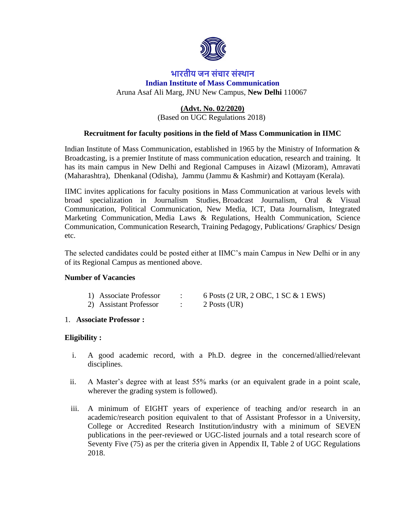

# **भारतीय जन संचार संस्थान Indian Institute of Mass Communication** Aruna Asaf Ali Marg, JNU New Campus, **New Delhi** 110067

#### **(Advt. No. 02/2020)** (Based on UGC Regulations 2018)

# **Recruitment for faculty positions in the field of Mass Communication in IIMC**

Indian Institute of Mass Communication, established in 1965 by the Ministry of Information & Broadcasting, is a premier Institute of mass communication education, research and training. It has its main campus in New Delhi and Regional Campuses in Aizawl (Mizoram), Amravati (Maharashtra), Dhenkanal (Odisha), Jammu (Jammu & Kashmir) and Kottayam (Kerala).

IIMC invites applications for faculty positions in Mass Communication at various levels with broad specialization in Journalism Studies, Broadcast Journalism, Oral & Visual Communication, Political Communication, New Media, ICT, Data Journalism, Integrated Marketing Communication, Media Laws & Regulations, Health Communication, Science Communication, Communication Research, Training Pedagogy, Publications/ Graphics/ Design etc.

The selected candidates could be posted either at IIMC's main Campus in New Delhi or in any of its Regional Campus as mentioned above.

#### **Number of Vacancies**

| 1) Associate Professor | 6 Posts (2 UR, 2 OBC, 1 SC & 1 EWS) |
|------------------------|-------------------------------------|
| 2) Assistant Professor | 2 Posts (UR)                        |

#### 1. **Associate Professor :**

# **Eligibility :**

- i. A good academic record, with a Ph.D. degree in the concerned/allied/relevant disciplines.
- ii. A Master's degree with at least 55% marks (or an equivalent grade in a point scale, wherever the grading system is followed).
- iii. A minimum of EIGHT years of experience of teaching and/or research in an academic/research position equivalent to that of Assistant Professor in a University, College or Accredited Research Institution/industry with a minimum of SEVEN publications in the peer-reviewed or UGC-listed journals and a total research score of Seventy Five (75) as per the criteria given in Appendix II, Table 2 of UGC Regulations 2018.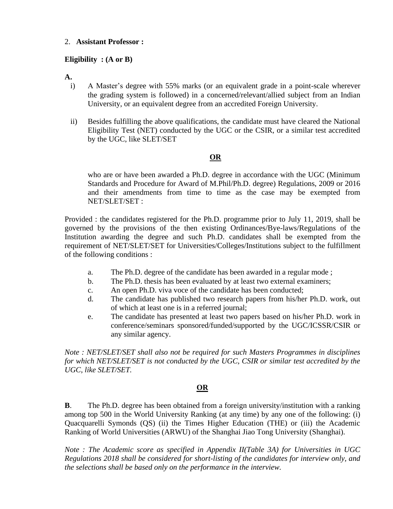#### 2. **Assistant Professor :**

### **Eligibility : (A or B)**

**A.**

- i) A Master's degree with 55% marks (or an equivalent grade in a point-scale wherever the grading system is followed) in a concerned/relevant/allied subject from an Indian University, or an equivalent degree from an accredited Foreign University.
- ii) Besides fulfilling the above qualifications, the candidate must have cleared the National Eligibility Test (NET) conducted by the UGC or the CSIR, or a similar test accredited by the UGC, like SLET/SET

# **OR**

who are or have been awarded a Ph.D. degree in accordance with the UGC (Minimum Standards and Procedure for Award of M.Phil/Ph.D. degree) Regulations, 2009 or 2016 and their amendments from time to time as the case may be exempted from NET/SLET/SET :

Provided : the candidates registered for the Ph.D. programme prior to July 11, 2019, shall be governed by the provisions of the then existing Ordinances/Bye-laws/Regulations of the Institution awarding the degree and such Ph.D. candidates shall be exempted from the requirement of NET/SLET/SET for Universities/Colleges/Institutions subject to the fulfillment of the following conditions :

- a. The Ph.D. degree of the candidate has been awarded in a regular mode ;
- b. The Ph.D. thesis has been evaluated by at least two external examiners;
- c. An open Ph.D. viva voce of the candidate has been conducted;
- d. The candidate has published two research papers from his/her Ph.D. work, out of which at least one is in a referred journal;
- e. The candidate has presented at least two papers based on his/her Ph.D. work in conference/seminars sponsored/funded/supported by the UGC/ICSSR/CSIR or any similar agency.

*Note : NET/SLET/SET shall also not be required for such Masters Programmes in disciplines for which NET/SLET/SET is not conducted by the UGC, CSIR or similar test accredited by the UGC, like SLET/SET.*

# **OR**

**B**. The Ph.D. degree has been obtained from a foreign university/institution with a ranking among top 500 in the World University Ranking (at any time) by any one of the following: (i) Quacquarelli Symonds (QS) (ii) the Times Higher Education (THE) or (iii) the Academic Ranking of World Universities (ARWU) of the Shanghai Jiao Tong University (Shanghai).

*Note : The Academic score as specified in Appendix II(Table 3A) for Universities in UGC Regulations 2018 shall be considered for short-listing of the candidates for interview only, and the selections shall be based only on the performance in the interview.*